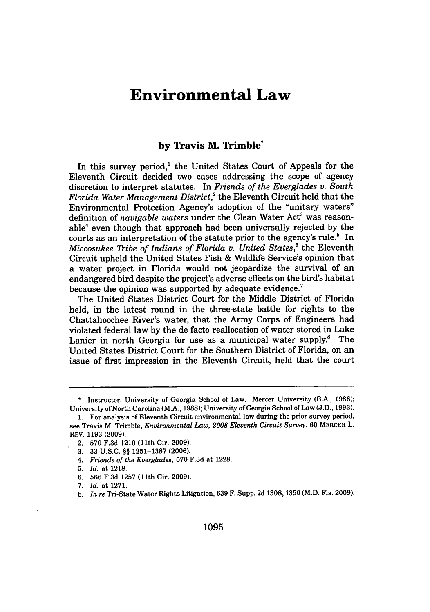# **Environmental Law**

# **by Travis M. Trimble\***

In this survey period, $<sup>1</sup>$  the United States Court of Appeals for the</sup> Eleventh Circuit decided two cases addressing the scope of agency discretion to interpret statutes. In *Friends of the Everglades v. South Florida Water Management District,2* the Eleventh Circuit held that the Environmental Protection Agency's adoption of the "unitary waters" definition of *navigable waters* under the Clean Water Act<sup>3</sup> was reasonable4 even though that approach had been universally rejected **by** the courts as an interpretation of the statute prior to the agency's rule.' In *Miccosukee Tribe of Indians of Florida v. United States*,<sup>6</sup> the Eleventh Circuit upheld the United States Fish & Wildlife Service's opinion that a water project in Florida would not jeopardize the survival of an endangered bird despite the project's adverse effects on the bird's habitat because the opinion was supported by adequate evidence.<sup>7</sup>

The United States District Court for the Middle District of Florida held, in the latest round in the three-state battle for rights to the Chattahoochee River's water, that the Army Corps of Engineers had violated federal law by the de facto reallocation of water stored in Lake Lanier in north Georgia for use as a municipal water supply. $8$  The United States District Court for the Southern District of Florida, on an issue of first impression in the Eleventh Circuit, held that the court

<sup>\*</sup> Instructor, University of Georgia School of Law. Mercer University (B.A., 1986); University of North Carolina (M.A., 1988); University of Georgia School of Law (J.D., 1993).

<sup>1.</sup> For analysis of Eleventh Circuit environmental law during the prior survey period, see Travis M. Trimble, *Environmental Law, 2008 Eleventh Circuit Survey,* 60 MERCER L. REV. 1193 (2009).

<sup>2. 570</sup> F.3d 1210 (11th Cir. 2009).

<sup>3. 33</sup> U.S.C. **§§** 1251-1387 (2006).

<sup>4.</sup> *Friends of the Everglades,* 570 F.3d at 1228.

<sup>5.</sup> *Id.* at 1218.

<sup>6. 566</sup> **F.3d** 1257 (11th Cir. 2009).

<sup>7.</sup> *Id.* at 1271.

<sup>8.</sup> *In re* Tri-State Water Rights Litigation, 639 F. Supp. 2d 1308, 1350 (M.D. Fla. 2009).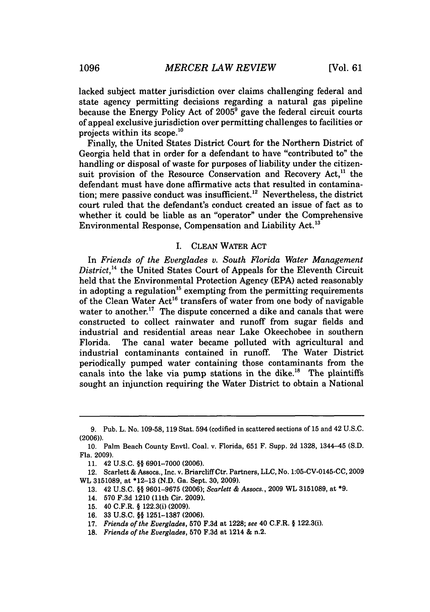lacked subject matter jurisdiction over claims challenging federal and state agency permitting decisions regarding a natural gas pipeline because the Energy Policy Act of **2005'** gave the federal circuit courts of appeal exclusive jurisdiction over permitting challenges to facilities or projects within its scope.<sup>10</sup>

Finally, the United States District Court for the Northern District of Georgia held that in order for a defendant to have "contributed to" the handling or disposal of waste for purposes of liability under the citizensuit provision of the Resource Conservation and Recovery Act.<sup>11</sup> the defendant must have done affirmative acts that resulted in contamination; mere passive conduct was insufficient.<sup>12</sup> Nevertheless, the district court ruled that the defendant's conduct created an issue of fact as to whether it could be liable as an "operator" under the Comprehensive Environmental Response, Compensation and Liability Act.'<sup>3</sup>

# I. CLEAN WATER ACT

In *Friends of the Everglades v. South Florida Water Management District,4* the United States Court of Appeals for the Eleventh Circuit held that the Environmental Protection Agency (EPA) acted reasonably in adopting a regulation<sup>15</sup> exempting from the permitting requirements of the Clean Water Act<sup>16</sup> transfers of water from one body of navigable water to another.<sup>17</sup> The dispute concerned a dike and canals that were constructed to collect rainwater and runoff from sugar fields and industrial and residential areas near Lake Okeechobee in southern Florida. The canal water became polluted with agricultural and industrial contaminants contained in runoff. The Water District periodically pumped water containing those contaminants from the canals into the lake via pump stations in the dike. $^{18}$  The plaintiffs sought an injunction requiring the Water District to obtain a National

<sup>9.</sup> Pub. L. No. 109-58, 119 Stat. 594 (codified in scattered sections of 15 and 42 U.S.C. (2006)).

<sup>10.</sup> Palm Beach County Envtl. Coal. v. Florida, 651 F. Supp. 2d 1328, 1344-45 (S.D. Fla. 2009).

<sup>11. 42</sup> U.S.C. §§ 6901-7000 (2006).

<sup>12.</sup> Scarlett & Assocs., Inc. v. BriarcliffCtr. Partners, LLC, No. 1:05-CV-0145-CC, 2009 WL 3151089, at \*12-13 (N.D. Ga. Sept. 30, 2009).

<sup>13. 42</sup> U.S.C. §§ 9601-9675 (2006); *Scarlett & Assocs.,* 2009 WL 3151089, at **\*9.**

<sup>14. 570</sup> F.3d 1210 (11th Cir. 2009).

<sup>15. 40</sup> C.F.R. § 122.3(i) (2009).

<sup>16. 33</sup> U.S.C. **§§** 1251-1387 (2006).

<sup>17.</sup> *Friends of the Everglades,* 570 F.3d at 1228; *see* 40 C.F.R. § 122.3(i).

<sup>18.</sup> *Friends of the Everglades,* 570 F.3d at 1214 & n.2.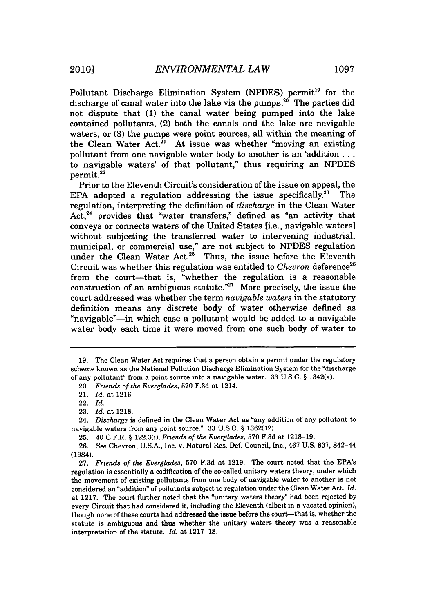Pollutant Discharge Elimination System (NPDES) permit<sup>19</sup> for the discharge of canal water into the lake via the pumps. $20^{\circ}$  The parties did not dispute that (1) the canal water being pumped into the lake contained pollutants, (2) both the canals and the lake are navigable waters, or (3) the pumps were point sources, all within the meaning of the Clean Water Act.<sup>21</sup> At issue was whether "moving an existing pollutant from one navigable water body to another is an 'addition... to navigable waters' of that pollutant," thus requiring an NPDES  $permit.<sup>22</sup>$ 

Prior to the Eleventh Circuit's consideration of the issue on appeal, the EPA adopted a regulation addressing the issue specifically.<sup>23</sup> The regulation, interpreting the definition of *discharge* in the Clean Water Act,<sup>24</sup> provides that "water transfers," defined as "an activity that conveys or connects waters of the United States [i.e., navigable waters] without subjecting the transferred water to intervening industrial, municipal, or commercial use," are not subject to NPDES regulation under the Clean Water Act.<sup>25</sup> Thus, the issue before the Eleventh Circuit was whether this regulation was entitled to *Chevron* deference<sup>26</sup> from the court-that is, "whether the regulation is a reasonable construction of an ambiguous statute."<sup>27</sup> More precisely, the issue the court addressed was whether the term *navigable* waters in the statutory definition means any discrete body of water otherwise defined as "navigable"-in which case a pollutant would be added to a navigable water body each time it were moved from one such body of water to

24. *Discharge* is defined in the Clean Water Act as "any addition of any pollutant to navigable waters from any point source." 33 U.S.C. § 1362(12).

<sup>19.</sup> The Clean Water Act requires that a person obtain a permit under the regulatory scheme known as the National Pollution Discharge Elimination System for the "discharge of any pollutant" from a point source into a navigable water. 33 U.S.C. § 1342(a).

<sup>20.</sup> *Friends of the Everglades,* 570 F.3d at 1214.

<sup>21.</sup> *Id.* at 1216.

<sup>22.</sup> *Id.*

<sup>23.</sup> *Id.* at 1218.

<sup>25. 40</sup> C.F.R. § 122.3(i); *Friends of the Everglades,* 570 F.3d at 1218-19.

<sup>26.</sup> *See* Chevron, U.S.A., Inc. v. Natural Res. Def. Council, Inc., 467 U.S. 837, 842-44 (1984).

<sup>27.</sup> *Friends of the Everglades,* **570** F.3d at 1219. The court noted that the EPA's regulation is essentially a codification of the so-called unitary waters theory, under which the movement of existing pollutants from one body of navigable water to another is not considered an 'addition" of pollutants subject to regulation under the Clean Water Act. *Id.* at 1217. The court further noted that the "unitary waters theory" had been rejected by every Circuit that had considered it, including the Eleventh (albeit in a vacated opinion), though none of these courts had addressed the issue before the court-that is, whether the statute is ambiguous and thus whether the unitary waters theory was a reasonable interpretation of the statute. *Id,* at 1217-18.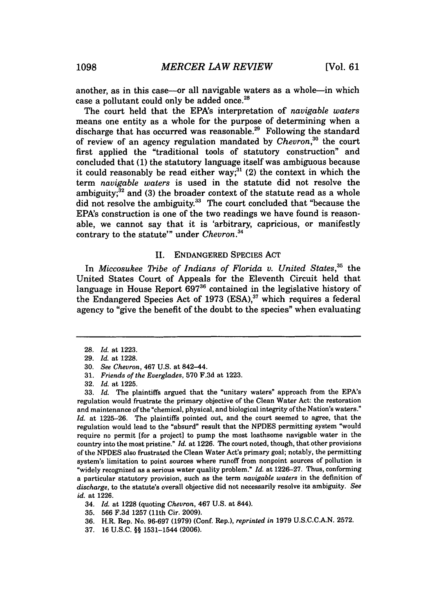another, as in this case-or all navigable waters as a whole-in which case a pollutant could only be added once. $^{22}$ 

The court held that the EPA's interpretation of *navigable* waters means one entity as a whole for the purpose of determining when a discharge that has occurred was reasonable.<sup>29</sup> Following the standard of review of an agency regulation mandated by *Chevron*,<sup>30</sup> the court first applied the "traditional tools of statutory construction" and concluded that (1) the statutory language itself was ambiguous because it could reasonably be read either way;<sup>31</sup> (2) the context in which the term *navigable waters* is used in the statute did not resolve the ambiguity; $^{32}$  and (3) the broader context of the statute read as a whole did not resolve the ambiguity.<sup>33</sup> The court concluded that "because the EPA's construction is one of the two readings we have found is reasonable, we cannot say that it is 'arbitrary, capricious, or manifestly contrary to the statute'" under *Chevron.34*

#### **I.** ENDANGERED SPECIES ACT

In *Miccosukee Tribe of Indians of Florida v. United States*,<sup>35</sup> the United States Court of Appeals for the Eleventh Circuit held that language in House Report **69736** contained in the legislative history of the Endangered Species Act of 1973 (ESA).<sup>37</sup> which requires a federal agency to "give the benefit of the doubt to the species" when evaluating

33. *Id.* The plaintiffs argued that the "unitary waters" approach from the EPA's regulation would frustrate the primary objective of the Clean Water Act: the restoration and maintenance of the "chemical, physical, and biological integrity of the Nation's waters." *Id.* at 1225-26. The plaintiffs pointed out, and the court seemed to agree, that the regulation would lead to the "absurd" result that the NPDES permitting system "would require no permit [for a project] to pump the most loathsome navigable water in the country into the most pristine." *Id.* at 1226. The court noted, though, that other provisions of the NPDES also frustrated the Clean Water Act's primary goal; notably, the permitting system's limitation to point sources where runoff from nonpoint sources of pollution is 'widely recognized as a serious water quality problem." *Id.* at 1226-27. Thus, conforming a particular statutory provision, such as the term *navigable waters* in the definition of *discharge,* to the statute's overall objective did not necessarily resolve its ambiguity. *See id.* at 1226.

- 34. *Id.* at 1228 (quoting *Chevron,* 467 U.S. at 844).
- 35. 566 F.3d 1257 (11th Cir. 2009).
- 36. H.R. Rep. No. 96-697 (1979) (Conf. Rep.), *reprinted in* 1979 U.S.C.C.A.N. 2572.
- 37. 16 U.S.C. §§ 1531-1544 (2006).

<sup>28.</sup> *Id.* at 1223.

<sup>29.</sup> *Id.* at 1228.

<sup>30.</sup> *See Chevron,* 467 U.S. at 842-44.

**<sup>31.</sup>** *Friends of the Everglades,* 570 F.3d at 1223.

<sup>32.</sup> *Id.* at 1225.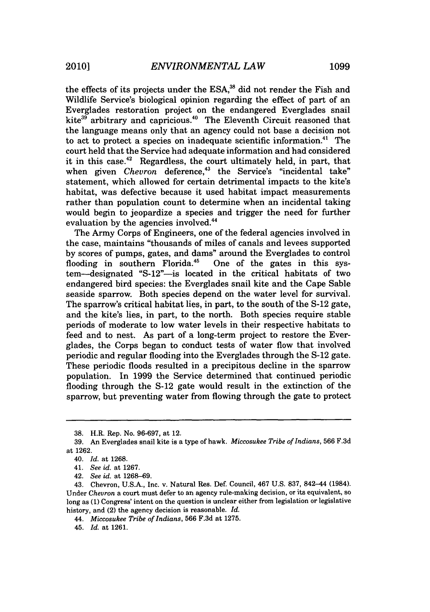the effects of its projects under the ESA,<sup>38</sup> did not render the Fish and Wildlife Service's biological opinion regarding the effect of part of an Everglades restoration project on the endangered Everglades snail kite<sup>39</sup> arbitrary and capricious.<sup>40</sup> The Eleventh Circuit reasoned that the language means only that an agency could not base a decision not to act to protect a species on inadequate scientific information.<sup>41</sup> The court held that the Service had adequate information and had considered it in this case.<sup>42</sup> Regardless, the court ultimately held, in part, that when given *Chevron* deference,<sup>43</sup> the Service's "incidental take" statement, which allowed for certain detrimental impacts to the kite's habitat, was defective because it used habitat impact measurements rather than population count to determine when an incidental taking would begin to jeopardize a species and trigger the need for further evaluation by the agencies involved.<sup>44</sup>

The Army Corps of Engineers, one of the federal agencies involved in the case, maintains "thousands of miles of canals and levees supported by scores of pumps, gates, and dams" around the Everglades to control flooding in southern Florida.<sup>45</sup> One of the gates in this system-designated "S-12"-is located in the critical habitats of two endangered bird species: the Everglades snail kite and the Cape Sable seaside sparrow. Both species depend on the water level for survival. The sparrow's critical habitat lies, in part, to the south of the S-12 gate, and the kite's lies, in part, to the north. Both species require stable periods of moderate to low water levels in their respective habitats to feed and to nest. As part of a long-term project to restore the Everglades, the Corps began to conduct tests of water flow that involved periodic and regular flooding into the Everglades through the S-12 gate. These periodic floods resulted in a precipitous decline in the sparrow population. In 1999 the Service determined that continued periodic flooding through the S-12 gate would result in the extinction of the sparrow, but preventing water from flowing through the gate to protect

<sup>38.</sup> H.R. Rep. No. 96-697, at 12.

<sup>39.</sup> An Everglades snail kite is a type of hawk. *Miccosukee Tribe of Indians,* 566 F.3d at 1262.

<sup>40.</sup> *Id.* at 1268.

<sup>41.</sup> *See id.* at 1267.

<sup>42.</sup> *See id.* at 1268-69.

<sup>43.</sup> Chevron, U.S.A., Inc. v. Natural Res. Def. Council, 467 U.S. 837, 842-44 (1984). Under *Chevron* a court must defer to an agency rule-making decision, or its equivalent, so long as **(1)** Congress' intent on the question is unclear either from legislation or legislative history, and (2) the agency decision is reasonable. *Id.*

<sup>44.</sup> *Miccosukee Tribe of Indians,* 566 F.3d at 1275.

<sup>45.</sup> *Id.* at 1261.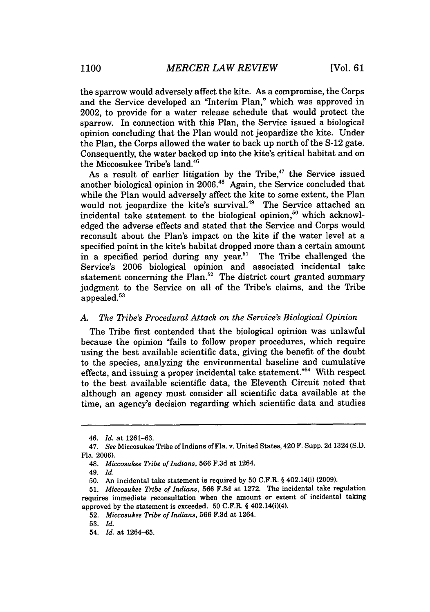the sparrow would adversely affect the kite. As a compromise, the Corps and the Service developed an "Interim Plan," which was approved in 2002, to provide for a water release schedule that would protect the sparrow. In connection with this Plan, the Service issued a biological opinion concluding that the Plan would not jeopardize the kite. Under the Plan, the Corps allowed the water to back up north of the S-12 gate. Consequently, the water backed up into the kite's critical habitat and on the Miccosukee Tribe's land.<sup>46</sup>

As a result of earlier litigation by the Tribe, $47$  the Service issued another biological opinion in  $2006<sup>48</sup>$  Again, the Service concluded that while the Plan would adversely affect the kite to some extent, the Plan would not jeopardize the kite's survival.<sup>49</sup> The Service attached an incidental take statement to the biological opinion,<sup>50</sup> which acknowledged the adverse effects and stated that the Service and Corps would reconsult about the Plan's impact on the kite if the water level at a specified point in the kite's habitat dropped more than a certain amount in a specified period during any year.<sup>51</sup> The Tribe challenged the Service's 2006 biological opinion and associated incidental take statement concerning the Plan.<sup>52</sup> The district court granted summary judgment to the Service on all of the Tribe's claims, and the Tribe appealed.<sup>53</sup>

### *A. The Tribe's Procedural Attack on the Service's Biological Opinion*

The Tribe first contended that the biological opinion was unlawful because the opinion "fails to follow proper procedures, which require using the best available scientific data, giving the benefit of the doubt to the species, analyzing the environmental baseline and cumulative effects, and issuing a proper incidental take statement."54 With respect to the best available scientific data, the Eleventh Circuit noted that although an agency must consider all scientific data available at the time, an agency's decision regarding which scientific data and studies

<sup>46.</sup> *Id.* at 1261-63.

<sup>47.</sup> *See* Miccosukee Tribe of Indians of Fla. v. United States, 420 F. Supp. 2d 1324 (S.D. Fla. 2006).

<sup>48.</sup> *Miccosukee Tribe of Indians,* 566 F.3d at 1264.

<sup>49.</sup> *Id.*

<sup>50.</sup> An incidental take statement is required by 50 C.F.R. § 402.14(i) (2009).

<sup>51.</sup> *Miccosukee Tribe of Indians,* 566 F.3d at 1272. The incidental take regulation requires immediate reconsultation when the amount or extent of incidental taking approved **by** the statement is exceeded. **50** C.F.R. § 402.14(i)(4).

**<sup>52.</sup>** *Miccosukee Tribe of Indians,* **566 F.3d** at 1264.

<sup>53.</sup> *Id.*

<sup>54.</sup> *Id.* at 1264-65.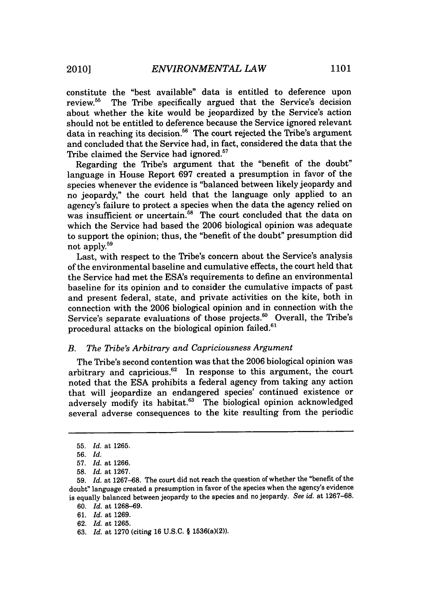constitute the "best available" data is entitled to deference upon review.<sup>55</sup> The Tribe specifically argued that the Service's decision about whether the kite would be jeopardized by the Service's action should not be entitled to deference because the Service ignored relevant data in reaching its decision.<sup>56</sup> The court rejected the Tribe's argument and concluded that the Service had, in fact, considered the data that the Tribe claimed the Service had ignored.<sup>57</sup>

Regarding the Tribe's argument that the "benefit of the doubt" language in House Report 697 created a presumption in favor of the species whenever the evidence is "balanced between likely jeopardy and no jeopardy," the court held that the language only applied to an agency's failure to protect a species when the data the agency relied on was insufficient or uncertain.<sup>58</sup> The court concluded that the data on which the Service had based the 2006 biological opinion was adequate to support the opinion; thus, the "benefit of the doubt" presumption did not apply.<sup>59</sup>

Last, with respect to the Tribe's concern about the Service's analysis of the environmental baseline and cumulative effects, the court held that the Service had met the ESA's requirements to define an environmental baseline for its opinion and to consider the cumulative impacts of past and present federal, state, and private activities on the kite, both in connection with the 2006 biological opinion and in connection with the Service's separate evaluations of those projects.<sup>60</sup> Overall, the Tribe's procedural attacks on the biological opinion failed.<sup>61</sup>

# *B. The Tribe's Arbitrary and Capriciousness Argument*

The Tribe's second contention was that the 2006 biological opinion was arbitrary and capricious.62 In response to this argument, the court noted that the ESA prohibits a federal agency from taking any action that will jeopardize an endangered species' continued existence or adversely modify its habitat.<sup>63</sup> The biological opinion acknowledged several adverse consequences to the kite resulting from the periodic

60. *Id.* at 1268-69.

61. *Id.* at 1269.

62. *Id.* at 1265.

<sup>55.</sup> *Id.* at 1265.

<sup>56.</sup> *Id.*

<sup>57.</sup> *Id.* at 1266.

<sup>58.</sup> *Id.* at 1267.

<sup>59.</sup> *Id.* at 1267-68. The court did not reach the question of whether the "benefit of the doubt" language created a presumption in favor of the species when the agency's evidence is equally balanced between jeopardy to the species and no jeopardy. *See id.* at 1267-68.

<sup>63.</sup> *Id.* at 1270 (citing 16 U.S.C. § 1536(a)(2)).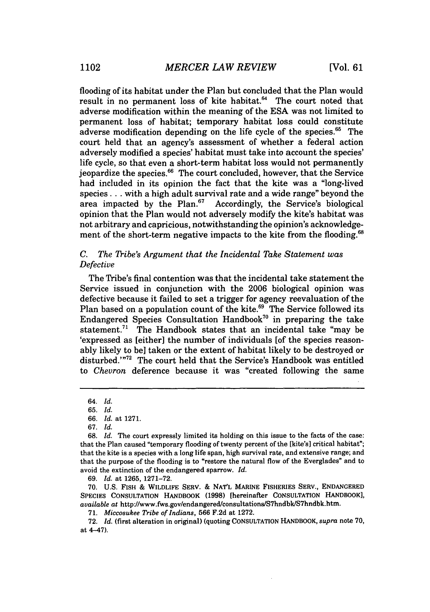flooding of its habitat under the Plan but concluded that the Plan would result in no permanent loss of kite habitat. $^{64}$  The court noted that adverse modification within the meaning of the **ESA** was not limited to permanent loss of habitat; temporary habitat loss could constitute adverse modification depending on the life cycle of the species.<sup>65</sup> The court held that an agency's assessment of whether a federal action adversely modified a species' habitat must take into account the species' life cycle, so that even a short-term habitat loss would not permanently jeopardize the species.<sup>66</sup> The court concluded, however, that the Service had included in its opinion the fact that the kite was a "long-lived species... with a high adult survival rate and a wide range" beyond the area impacted by the Plan. $67$  Accordingly, the Service's biological opinion that the Plan would not adversely modify the kite's habitat was not arbitrary and capricious, notwithstanding the opinion's acknowledgement of the short-term negative impacts to the kite from the flooding.<sup>68</sup>

# *C. The Tribe's Argument that the Incidental Take Statement was Defective*

The Tribe's final contention was that the incidental take statement the Service issued in conjunction with the 2006 biological opinion was defective because it failed to set a trigger for agency reevaluation of the Plan based on a population count of the kite.<sup>69</sup> The Service followed its Endangered Species Consultation Handbook<sup>70</sup> in preparing the take statement.<sup>71</sup> The Handbook states that an incidental take "may be 'expressed as [either] the number of individuals [of the species reasonably likely to bel taken or the extent of habitat likely to be destroyed or disturbed.'"<sup>72</sup> The court held that the Service's Handbook was entitled to *Chevron* deference because it was "created following the same

69. *Id.* at 1265, 1271-72.

70. U.S. FISH & WILDLIFE SERV. & NATL MARINE FISHERIES SERV., ENDANGERED SPECIES CONSULTATION HANDBOOK (1998) [hereinafter CONSULTATION HANDBOOK], *available at* http://www.fws.gov/endangered/consultations/S7hndbk/S7hndbk.htm.

71. *Miccosukee Tribe of Indians,* **566** F.2d at **1272.**

**72.** *Id.* (first alteration in original) (quoting CONSULTATION HANDBOOK, *supra* note **70,** at 4-47).

<sup>64.</sup> *Id.*

<sup>65.</sup> *Id.*

<sup>66.</sup> *Id.* at 1271.

<sup>67.</sup> *Id.*

<sup>68.</sup> *Id.* The court expressly limited its holding on this issue to the facts of the case: that the Plan caused "temporary flooding of twenty percent of the [kite's] critical habitat"; that the kite is a species with a long life span, high survival rate, and extensive range; and that the purpose of the flooding is to "restore the natural flow of the Everglades" and to avoid the extinction of the endangered sparrow. *Id.*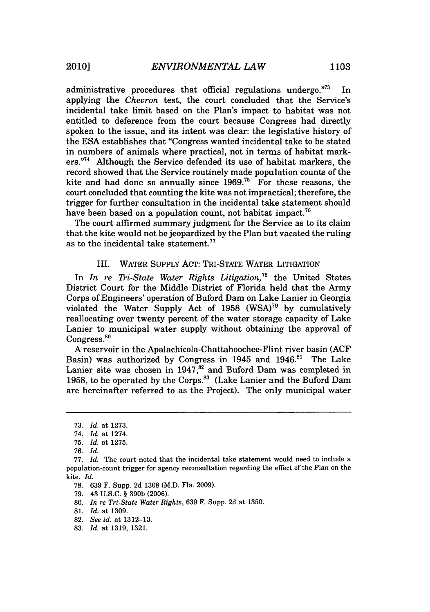administrative procedures that official regulations undergo."<sup>73</sup> In applying the *Chevron* test, the court concluded that the Service's incidental take limit based on the Plan's impact to habitat was not entitled to deference from the court because Congress had directly spoken to the issue, and its intent was clear: the legislative history of the ESA establishes that "Congress wanted incidental take to be stated in numbers of animals where practical, not in terms of habitat markers."<sup>74</sup> Although the Service defended its use of habitat markers, the record showed that the Service routinely made population counts of the kite and had done so annually since  $1969$ .<sup>75</sup> For these reasons, the court concluded that counting the kite was not impractical; therefore, the trigger for further consultation in the incidental take statement should have been based on a population count, not habitat impact.<sup>76</sup>

The court affirmed summary judgment for the Service as to its claim that the kite would not be jeopardized by the Plan but vacated the ruling as to the incidental take statement.<sup>77</sup>

# III. WATER SUPPLY ACT: TRI-STATE WATER LITIGATION

In *In re Thi-State Water Rights Litigation,78* the United States District Court for the Middle District of Florida held that the Army Corps of Engineers' operation of Buford Dam on Lake Lanier in Georgia violated the Water Supply Act of 1958 (WSA)<sup>79</sup> by cumulatively reallocating over twenty percent of the water storage capacity of Lake Lanier to municipal water supply without obtaining the approval of Congress.<sup>80</sup>

A reservoir in the Apalachicola-Chattahoochee-Flint river basin (ACF Basin) was authorized by Congress in 1945 and  $1946$ .<sup>81</sup> The Lake Lanier site was chosen in 1947, $^{82}$  and Buford Dam was completed in 1958, to be operated by the Corps.<sup>83</sup> (Lake Lanier and the Buford Dam are hereinafter referred to as the Project). The only municipal water

78. 639 F. Supp. 2d 1308 (M.D. Fla. 2009).

79. 43 U.S.C. § 390b (2006).

80. *In re Tri-State Water Rights,* 639 F. Supp. 2d at 1350.

<sup>73.</sup> *Id.* at 1273.

<sup>74.</sup> *Id.* at 1274.

<sup>75.</sup> *Id.* at 1275.

<sup>76.</sup> *Id.*

<sup>77.</sup> *Id.* The court noted that the incidental take statement would need to include a population-count trigger for agency reconsultation regarding the effect of the Plan on the kite. *Id.*

<sup>81.</sup> *Id.* at 1309.

<sup>82.</sup> *See id.* at 1312-13.

<sup>83.</sup> *Id.* at 1319, 1321.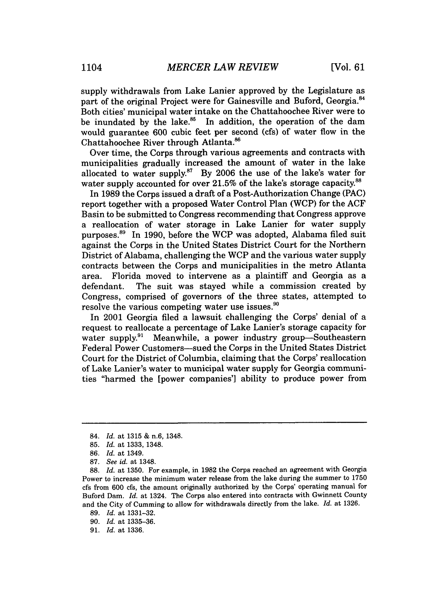supply withdrawals from Lake Lanier approved by the Legislature as part of the original Project were for Gainesville and Buford, Georgia.<sup>84</sup> Both cities' municipal water intake on the Chattahoochee River were to be inundated by the lake. $85$  In addition, the operation of the dam would guarantee 600 cubic feet per second (cfs) of water flow in the Chattahoochee River through Atlanta.<sup>86</sup>

Over time, the Corps through various agreements and contracts with municipalities gradually increased the amount of water in the lake allocated to water supply. $87$  By 2006 the use of the lake's water for water supply accounted for over 21.5% of the lake's storage capacity.<sup>88</sup>

In 1989 the Corps issued a draft of a Post-Authorization Change (PAC) report together with a proposed Water Control Plan (WCP) for the ACF Basin to be submitted to Congress recommending that Congress approve a reallocation of water storage in Lake Lanier for water supply purposes. 89 In 1990, before the WCP was adopted, Alabama filed suit against the Corps in the United States District Court for the Northern District of Alabama, challenging the WCP and the various water supply contracts between the Corps and municipalities in the metro Atlanta area. Florida moved to intervene as a plaintiff and Georgia as a defendant. The suit was stayed while a commission created by Congress, comprised of governors of the three states, attempted to resolve the various competing water use issues.<sup>90</sup>

In 2001 Georgia filed a lawsuit challenging the Corps' denial of a request to reallocate a percentage of Lake Lanier's storage capacity for water supply.<sup>91</sup> Meanwhile, a power industry group-Southeastern Federal Power Customers-sued the Corps in the United States District Court for the District of Columbia, claiming that the Corps' reallocation of Lake Lanier's water to municipal water supply for Georgia communities "harmed the [power companies'] ability to produce power from

<sup>84.</sup> *Id.* at 1315 & n.6, 1348.

<sup>85.</sup> *Id.* at 1333, 1348.

<sup>86.</sup> *Id.* at 1349.

<sup>87.</sup> *See id.* at 1348.

<sup>88.</sup> *Id.* at 1350. For example, in 1982 the Corps reached an agreement with Georgia Power to increase the minimum water release from the lake during the summer to 1750 cfs from 600 cfs, the amount originally authorized by the Corps' operating manual for Buford Dam. *Id.* at 1324. The Corps also entered into contracts with Gwinnett County and the City of Cumming to allow for withdrawals directly from the lake. *Id.* at 1326.

<sup>89.</sup> *Id.* at 1331-32.

<sup>90.</sup> *Id.* at 1335-36.

<sup>91.</sup> *Id.* at 1336.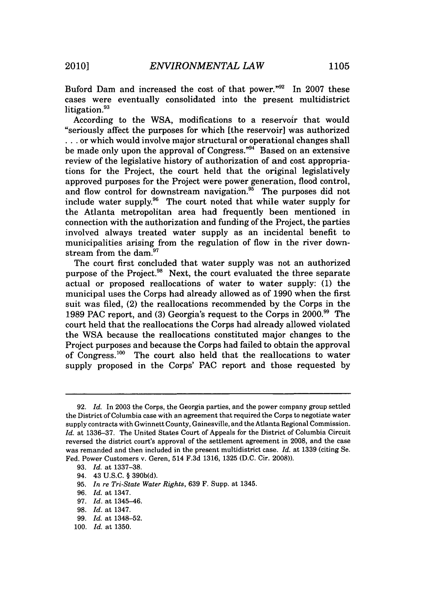Buford Dam and increased the cost of that power."92 In 2007 these cases were eventually consolidated into the present multidistrict litigation.<sup>93</sup>

According to the WSA, modifications to a reservoir that would "seriously affect the purposes for which [the reservoir] was authorized **...** or which would involve major structural or operational changes shall be made only upon the approval of Congress."94 Based on an extensive review of the legislative history of authorization of and cost appropriations for the Project, the court held that the original legislatively approved purposes for the Project were power generation, flood control, and flow control for downstream navigation.<sup>95</sup> The purposes did not include water supply.96 The court noted that while water supply for the Atlanta metropolitan area had frequently been mentioned in connection with the authorization and funding of the Project, the parties involved always treated water supply as an incidental benefit to municipalities arising from the regulation of flow in the river downstream from the dam.<sup>97</sup>

The court first concluded that water supply was not an authorized purpose of the Project.<sup>98</sup> Next, the court evaluated the three separate actual or proposed reallocations of water to water supply: (1) the municipal uses the Corps had already allowed as of 1990 when the first suit was filed, (2) the reallocations recommended by the Corps in the 1989 PAC report, and (3) Georgia's request to the Corps in 2000. 99 The court held that the reallocations the Corps had already allowed violated the WSA because the reallocations constituted major changes to the Project purposes and because the Corps had failed to obtain the approval of Congress.<sup>100</sup> The court also held that the reallocations to water supply proposed in the Corps' PAC report and those requested by

<sup>92.</sup> *Id.* In 2003 the Corps, the Georgia parties, and the power company group settled the District of Columbia case with an agreement that required the Corps to negotiate water supply contracts with Gwinnett County, Gainesville, and the Atlanta Regional Commission. *Id.* at 1336-37. The United States Court of Appeals for the District of Columbia Circuit reversed the district court's approval of the settlement agreement in 2008, and the case was remanded and then included in the present multidistrict case. *Id.* at 1339 (citing Se. Fed. Power Customers v. Geren, 514 F.3d 1316, 1325 (D.C. Cir. 2008)).

<sup>93.</sup> *Id.* at 1337-38.

<sup>94. 43</sup> U.S.C. § 390b(d).

<sup>95.</sup> *In re Tri-State Water Rights,* 639 F. Supp. at 1345.

<sup>96.</sup> *Id.* at 1347.

<sup>97.</sup> *Id.* at 1345-46.

<sup>98.</sup> *Id.* at 1347.

<sup>99.</sup> *Id.* at 1348-52.

<sup>100.</sup> *Id.* at 1350.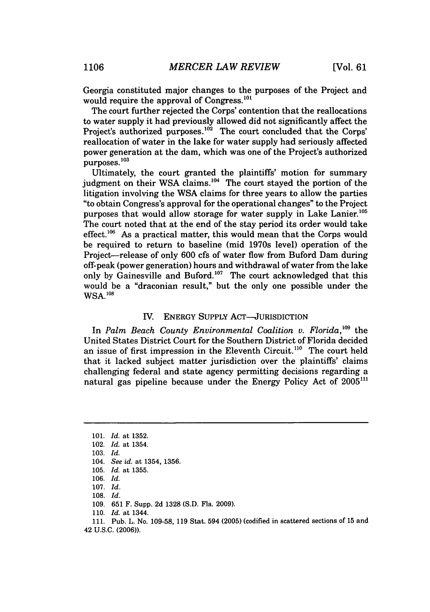Georgia constituted major changes to the purposes of the Project and would require the approval of Congress.<sup>101</sup>

The court further rejected the Corps' contention that the reallocations to water supply it had previously allowed did not significantly affect the Project's authorized purposes.<sup>102</sup> The court concluded that the Corps' reallocation of water in the lake for water supply had seriously affected power generation at the dam, which was one of the Project's authorized purposes. **<sup>103</sup>**

Ultimately, the court granted the plaintiffs' motion for summary judgment on their WSA claims.<sup>104</sup> The court stayed the portion of the litigation involving the WSA claims for three years to allow the parties "to obtain Congress's approval for the operational changes" to the Project purposes that would allow storage for water supply in Lake Lanier.<sup>105</sup> The court noted that at the end of the stay period its order would take effect.<sup>106</sup> As a practical matter, this would mean that the Corps would be required to return to baseline (mid 1970s level) operation of the Project-release of only 600 cfs of water flow from Buford Dam during off-peak (power generation) hours and withdrawal of water from the lake only by Gainesville and Buford.<sup>107</sup> The court acknowledged that this would be a "draconian result," but the only one possible under the WSA.'08

## IV. ENERGY SUPPLY ACT-JURISDICTION

In *Palm Beach County Environmental Coalition v. Florida*, <sup>109</sup> the United States District Court for the Southern District of Florida decided an issue of first impression in the Eleventh Circuit.<sup>110</sup> The court held that it lacked subject matter jurisdiction over the plaintiffs' claims challenging federal and state agency permitting decisions regarding a natural gas pipeline because under the Energy Policy Act of 2005<sup>111</sup>

103. *Id.*

109. 651 F. Supp. 2d 1328 (S.D. Fla. 2009).

110. *Id.* at 1344.

111. Pub. L. No. 109-58, 119 Stat. 594 (2005) (codified in scattered sections of 15 and 42 U.S.C. (2006)).

<sup>101.</sup> *Id.* at 1352.

<sup>102.</sup> *Id.* at 1354.

<sup>104.</sup> *See id.* at 1354, 1356.

<sup>105.</sup> *Id.* at 1355.

<sup>106.</sup> *Id.*

<sup>107.</sup> *Id.*

<sup>108.</sup> *Id.*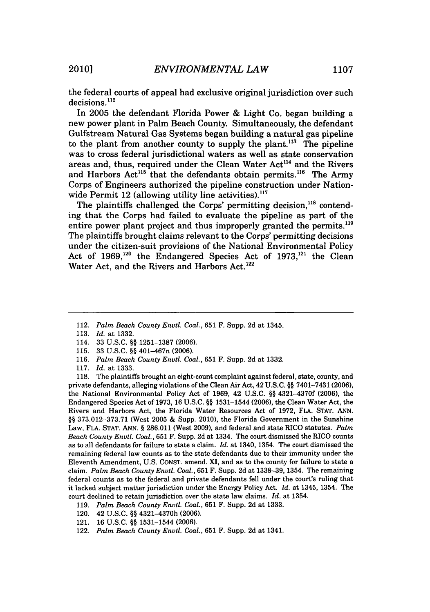the federal courts of appeal had exclusive original jurisdiction over such  $decisions$ .  $^{112}$ 

In 2005 the defendant Florida Power & Light Co. began building a new power plant in Palm Beach County. Simultaneously, the defendant Gulfstream Natural Gas Systems began building a natural gas pipeline to the plant from another county to supply the plant.<sup>113</sup> The pipeline was to cross federal jurisdictional waters as well as state conservation areas and, thus, required under the Clean Water Act<sup>114</sup> and the Rivers and Harbors Act<sup>115</sup> that the defendants obtain permits.<sup>116</sup> The Army Corps of Engineers authorized the pipeline construction under Nationwide Permit  $12$  (allowing utility line activities).<sup>117</sup>

The plaintiffs challenged the Corps' permitting decision,<sup>118</sup> contending that the Corps had failed to evaluate the pipeline as part of the entire power plant project and thus improperly granted the permits.<sup>119</sup> The plaintiffs brought claims relevant to the Corps' permitting decisions under the citizen-suit provisions of the National Environmental Policy Act of 1969,<sup>120</sup> the Endangered Species Act of 1973,<sup>121</sup> the Clean Water Act, and the Rivers and Harbors Act.<sup>122</sup>

- 115. 33 U.S.C. §§ 401-467n (2006).
- 116. *Palm Beach County Enutl. Coal.,* 651 F. Supp. 2d at 1332.
- 117. *Id.* at 1333.

118. The plaintiffs brought an eight-count complaint against federal, state, county, and private defendants, alleging violations of the Clean Air Act, 42 U.S.C. §§ 7401-7431 (2006), the National Environmental Policy Act of 1969, 42 U.S.C. **§§** 4321-4370f (2006), the Endangered Species Act of 1973, 16 U.S.C. §§ 1531-1544 (2006), the Clean Water Act, the Rivers and Harbors Act, the Florida Water Resources Act of 1972, FLA. STAT. ANN. §§ 373.012-373.71 (West 2005 & Supp. 2010), the Florida Government in the Sunshine Law, FLA. STAT. ANN. § 286.011 (West 2009), and federal and state RICO statutes. *Palm Beach County Envtl. Coal.,* 651 F. Supp. 2d at 1334. The court dismissed the RICO counts as to all defendants for failure to state a claim. *Id.* at 1340, 1354. The court dismissed the remaining federal law counts as to the state defendants due to their immunity under the Eleventh Amendment, U.S. CONST. amend. XI, and as to the county for failure to state a claim. *Palm Beach County Envtl. Coal.,* 651 F. Supp. 2d at 1338-39, 1354. The remaining federal counts as to the federal and private defendants fell under the court's ruling that it lacked subject matter jurisdiction under the Energy Policy Act. *Id.* at 1345, 1354. The court declined to retain jurisdiction over the state law claims. *Id.* at 1354.

- 119. *Palm Beach County Envtl. Coal.,* 651 F. Supp. 2d at 1333.
- 120. 42 U.S.C. §§ 4321-4370h (2006).
- 121. 16 U.S.C. §§ 1531-1544 (2006).
- 122. *Palm Beach County Envtl. Coal.,* 651 F. Supp. 2d at 1341.

<sup>112.</sup> *Palm Beach County Envtl. Coal.,* 651 F. Supp. 2d at 1345.

<sup>113.</sup> *Id.* at 1332.

<sup>114. 33</sup> U.S.C. §§ 1251-1387 (2006).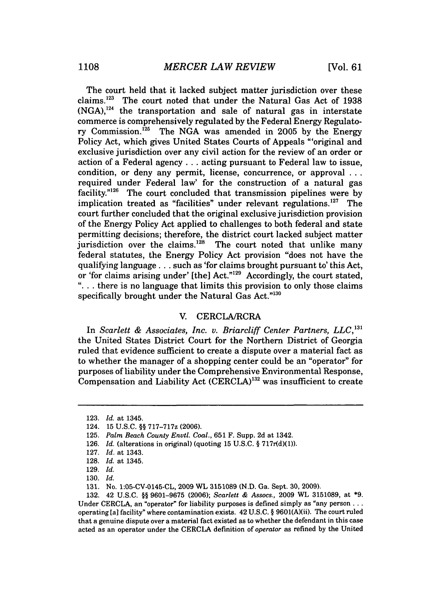The court held that it lacked subject matter jurisdiction over these claims.<sup>123</sup> The court noted that under the Natural Gas Act of 1938  $(NGA)$ ,<sup>124</sup> the transportation and sale of natural gas in interstate commerce is comprehensively regulated by the Federal Energy Regulatory Commission.125 The NGA was amended in 2005 by the Energy Policy Act, which gives United States Courts of Appeals "'original and exclusive jurisdiction over any civil action for the review of an order or action of a Federal agency **...** acting pursuant to Federal law to issue, condition, or deny any permit, license, concurrence, or approval **...** required under Federal law' for the construction of a natural gas facility." $126$  The court concluded that transmission pipelines were by implication treated as "facilities" under relevant regulations. $127$  The court further concluded that the original exclusive jurisdiction provision of the Energy Policy Act applied to challenges to both federal and state permitting decisions; therefore, the district court lacked subject matter jurisdiction over the claims. $128$  The court noted that unlike many federal statutes, the Energy Policy Act provision "does not have the qualifying language **...** such as 'for claims brought pursuant to' this Act, or 'for claims arising under' [the] Act."'29 Accordingly, the court stated, **"...** there is no language that limits this provision to only those claims specifically brought under the Natural Gas Act."130

### V. CERCLA/RCRA

In *Scarlett & Associates, Inc. v. Briarcliff Center Partners, LLC*,<sup>131</sup> the United States District Court for the Northern District of Georgia ruled that evidence sufficient to create a dispute over a material fact as to whether the manager of a shopping center could be an "operator" for purposes of liability under the Comprehensive Environmental Response, Compensation and Liability Act (CERCLA)<sup>132</sup> was insufficient to create

132. 42 U.S.C. §§ 9601-9675 (2006); *Scarlett & Assocs.,* 2009 WL 3151089, at **\*9.** Under CERCLA, an "operator" for liability purposes is defined simply as "any person... operating [a] facility" where contamination exists. 42 U.S.C. § 9601(A)(ii). The court ruled that a genuine dispute over a material fact existed as to whether the defendant in this case acted as an operator under the CERCLA definition of *operator* as refined by the United

<sup>123.</sup> *Id.* at 1345.

<sup>124. 15</sup> U.S.C. §§ 717-717z (2006).

<sup>125.</sup> *Palm Beach County* Envtl. *Coal.,* 651 F. Supp. 2d at 1342.

<sup>126.</sup> *Id.* (alterations in original) (quoting 15 U.S.C. § 717r(d)(1)).

<sup>127.</sup> *Id.* at 1343.

<sup>128.</sup> *Id.* at 1345.

<sup>129.</sup> *Id.*

<sup>130.</sup> *Id.*

<sup>131.</sup> No. 1:05-CV-0145-CL, 2009 WL 3151089 (N.D. Ga. Sept. 30, 2009).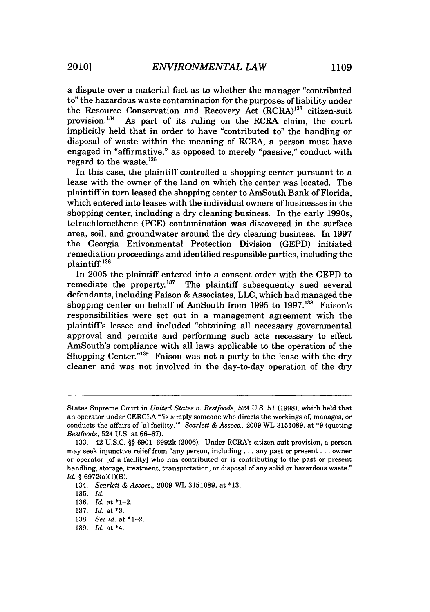a dispute over a material fact as to whether the manager "contributed to" the hazardous waste contamination for the purposes of liability under the Resource Conservation and Recovery Act  $(RCRA)^{133}$  citizen-suit provision.<sup>134</sup> As part of its ruling on the RCRA claim the court. As part of its ruling on the RCRA claim, the court

implicitly held that in order to have "contributed to" the handling or disposal of waste within the meaning of RCRA, a person must have engaged in "affirmative," as opposed to merely "passive," conduct with regard to the waste. $^{135}$ 

In this case, the plaintiff controlled a shopping center pursuant to a lease with the owner of the land on which the center was located. The plaintiff in turn leased the shopping center to AmSouth Bank of Florida, which entered into leases with the individual owners of businesses in the shopping center, including a dry cleaning business. In the early 1990s, tetrachloroethene (PCE) contamination was discovered in the surface area, soil, and groundwater around the dry cleaning business. In 1997 the Georgia Enivonmental Protection Division (GEPD) initiated remediation proceedings and identified responsible parties, including the plaintiff. **<sup>136</sup>**

In 2005 the plaintiff entered into a consent order with the GEPD to remediate the property.<sup>137</sup> The plaintiff subsequently sued several defendants, including Faison & Associates, LLC, which had managed the shopping center on behalf of AmSouth from 1995 to **1997.138** Faison's responsibilities were set out in a management agreement with the plaintiff's lessee and included "obtaining all necessary governmental approval and permits and performing such acts necessary to effect AmSouth's compliance with all laws applicable to the operation of the Shopping Center."<sup>139</sup> Faison was not a party to the lease with the dry cleaner and was not involved in the day-to-day operation of the dry

States Supreme Court in *United States v. Bestfoods,* 524 U.S. 51 (1998), which held that an operator under CERCLA "'is simply someone who directs the workings of, manages, or conducts the affairs of [a] facility.'" *Scarlett & Assocs.,* 2009 WL 3151089, at \*9 (quoting *Bestfoods,* 524 U.S. at 66-67).

<sup>133. 42</sup> U.S.C. §§ 6901-6992k (2006). Under RCRA's citizen-suit provision, a person may seek injunctive relief from "any person, including.., any past or present... owner or operator [of a facility] who has contributed or is contributing to the past or present handling, storage, treatment, transportation, or disposal of any solid or hazardous waste." *Id. §* 6972(a)(1)(B).

<sup>134.</sup> *Scarlett & Assocs.,* **2009 WL** 3151089, at \*13.

<sup>135.</sup> *Id.*

<sup>136.</sup> *Id.* at \*1-2.

<sup>137.</sup> *Id.* at **\*3.**

<sup>138.</sup> *See id.* at \*1-2.

<sup>139.</sup> *Id.* at \*4.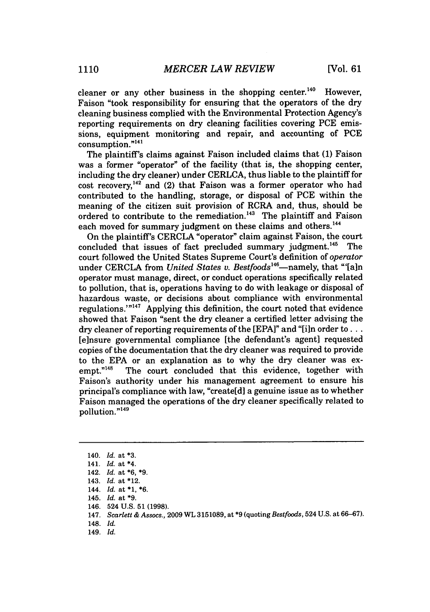cleaner or any other business in the shopping center.<sup>140</sup> However, Faison "took responsibility for ensuring that the operators of the dry cleaning business complied with the Environmental Protection Agency's reporting requirements on dry cleaning facilities covering **PCE** emissions, equipment monitoring and repair, and accounting of **PCE** consumption."<sup>141</sup>

The plaintiff's claims against Faison included claims that **(1)** Faison was a former "operator" of the facility (that is, the shopping center, including the dry cleaner) under CERLCA, thus liable to the plaintiff for cost recovery,142 and (2) that Faison was a former operator who had contributed to the handling, storage, or disposal of **PCE** within the meaning of the citizen suit provision of RCRA and, thus, should be ordered to contribute to the remediation.<sup>143</sup> The plaintiff and Faison each moved for summary judgment on these claims and others.<sup>144</sup>

On the plaintiff's CERCLA "operator" claim against Faison, the court concluded that issues of fact precluded summary judgment. 145 The court followed the United States Supreme Court's definition of *operator* under CERCLA from *United States v. Bestfoods*<sup>146</sup>-namely, that "'[a]n operator must manage, direct, or conduct operations specifically related to pollution, that is, operations having to do with leakage or disposal of hazardous waste, or decisions about compliance with environmental regulations.'"<sup>147</sup> Applying this definition, the court noted that evidence showed that Faison "sent the dry cleaner a certified letter advising the dry cleaner of reporting requirements of the [EPA]" and "[i]n order to... [e]nsure governmental compliance [the defendant's agent] requested copies of the documentation that the dry cleaner was required to provide to the EPA or an explanation as to why the dry cleaner was exempt."<sup>148</sup> The court concluded that this evidence, together with Faison's authority under his management agreement to ensure his principal's compliance with law, "create[d] a genuine issue as to whether Faison managed the operations of the dry cleaner specifically related to pollution."<sup>149</sup>

149. *Id.*

<sup>140.</sup> *Id.* at **\*3.**

<sup>141.</sup> *Id.* at \*4.

<sup>142.</sup> *Id.* at \*6, **\*9.**

<sup>143.</sup> *Id.* at \*12.

<sup>144.</sup> *Id.* at **\*1, \*6.**

<sup>145.</sup> *Id.* at **\*9.**

<sup>146. 524</sup> U.S. 51 (1998).

<sup>147.</sup> *Scarlett & Assocs.,* 2009 WL 3151089, at **\*9** (quoting *Bestfoods,* 524 U.S. at 66-67).

<sup>148.</sup> *Id.*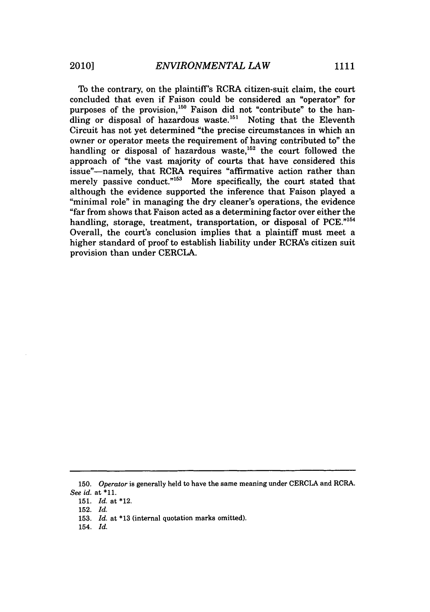To the contrary, on the plaintiff's RCRA citizen-suit claim, the court concluded that even if Faison could be considered an "operator" for purposes of the provision,<sup>150</sup> Faison did not "contribute" to the handling or disposal of hazardous waste.<sup>151</sup> Noting that the Eleventh Circuit has not yet determined "the precise circumstances in which an owner or operator meets the requirement of having contributed to" the handling or disposal of hazardous waste,<sup>152</sup> the court followed the approach of "the vast majority of courts that have considered this issue"-namely, that RCRA requires "affirmative action rather than merely passive conduct."<sup>153</sup> More specifically, the court stated that although the evidence supported the inference that Faison played a "minimal role" in managing the dry cleaner's operations, the evidence "far from shows that Faison acted as a determining factor over either the handling, storage, treatment, transportation, or disposal of PCE."154 Overall, the court's conclusion implies that a plaintiff must meet a higher standard of proof to establish liability under RCRA's citizen suit provision than under CERCLA.

<sup>150.</sup> *Operator* is generally held to have the same meaning under CERCLA and RCRA. *See id.* at \*11.

<sup>151.</sup> *Id.* at \*12.

<sup>152.</sup> *Id.*

<sup>153.</sup> *Id.* at **\*13** (internal quotation marks omitted).

<sup>154.</sup> *Id.*